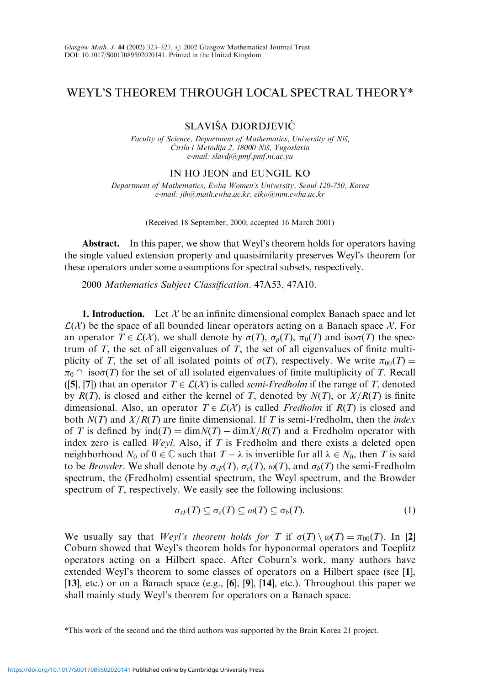## WEYL'S THEOREM THROUGH LOCAL SPECTRAL THEORY\*

SLAVIŠA DJORDJEVIĆ

Faculty of Science, Department of Mathematics, University of Niš, Ćirila i Metodija 2, 18000 Niš, Yugoslavia e-mail: slavdj@pmf.pmf.ni.ac.yu

## IN HO JEON and EUNGIL KO

Department of Mathematics, Ewha Women's University, Seoul 120-750, Korea e-mail: jih@math.ewha.ac.kr, eiko@mm.ewha.ac.kr

(Received 18 September, 2000; accepted 16 March 2001)

Abstract. In this paper, we show that Weyl's theorem holds for operators having the single valued extension property and quasisimilarity preserves Weyl's theorem for these operators under some assumptions for spectral subsets, respectively.

2000 Mathematics Subject Classification. 47A53, 47A10.

**1. Introduction.** Let  $X$  be an infinite dimensional complex Banach space and let  $\mathcal{L}(\mathcal{X})$  be the space of all bounded linear operators acting on a Banach space X. For an operator  $T \in \mathcal{L}(\mathcal{X})$ , we shall denote by  $\sigma(T)$ ,  $\sigma_p(T)$ ,  $\pi_0(T)$  and iso $\sigma(T)$  the spectrum of  $T$ , the set of all eigenvalues of  $T$ , the set of all eigenvalues of finite multiplicity of T, the set of all isolated points of  $\sigma(T)$ , respectively. We write  $\pi_{00}(T) =$  $\pi_0 \cap \text{iso}\sigma(T)$  for the set of all isolated eigenvalues of finite multiplicity of T. Recall ([5], [7]) that an operator  $T \in \mathcal{L}(\mathcal{X})$  is called *semi-Fredholm* if the range of T, denoted by  $R(T)$ , is closed and either the kernel of T, denoted by  $N(T)$ , or  $X/R(T)$  is finite dimensional. Also, an operator  $T \in \mathcal{L}(\mathcal{X})$  is called *Fredholm* if  $R(T)$  is closed and both  $N(T)$  and  $X/R(T)$  are finite dimensional. If T is semi-Fredholm, then the *index* of T is defined by  $ind(T) = dimN(T) - dimX/R(T)$  and a Fredholm operator with index zero is called  $Wevl$ . Also, if T is Fredholm and there exists a deleted open neighborhood  $N_0$  of  $0 \in \mathbb{C}$  such that  $T - \lambda$  is invertible for all  $\lambda \in N_0$ , then T is said to be *Browder*. We shall denote by  $\sigma_{sF}(T)$ ,  $\sigma_{e}(T)$ ,  $\omega(T)$ , and  $\sigma_{b}(T)$  the semi-Fredholm spectrum, the (Fredholm) essential spectrum, the Weyl spectrum, and the Browder spectrum of T, respectively. We easily see the following inclusions:

$$
\sigma_{sF}(T) \subseteq \sigma_e(T) \subseteq \omega(T) \subseteq \sigma_b(T). \tag{1}
$$

We usually say that *Weyl's theorem holds for* T if  $\sigma(T) \setminus \omega(T) = \pi_{00}(T)$ . In [2] Coburn showed that Weyl's theorem holds for hyponormal operators and Toeplitz operators acting on a Hilbert space. After Coburn's work, many authors have extended Weyl's theorem to some classes of operators on a Hilbert space (see [1], [13], etc.) or on a Banach space (e.g.,  $[6]$ ,  $[9]$ ,  $[14]$ , etc.). Throughout this paper we shall mainly study Weyl's theorem for operators on a Banach space.

<sup>\*</sup>This work of the second and the third authors was supported by the Brain Korea 21 project.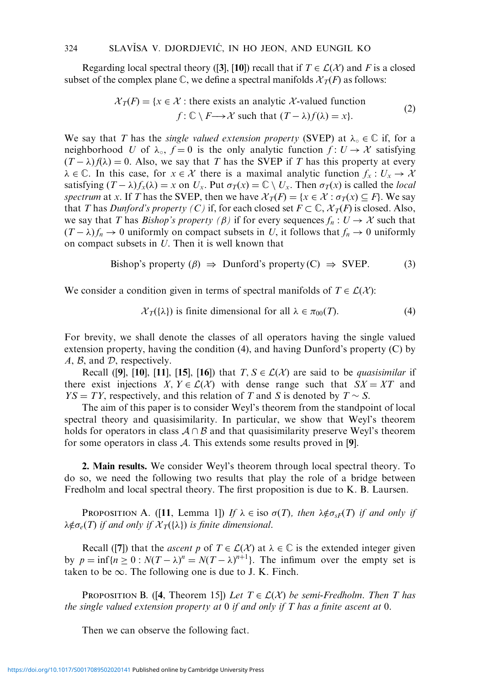Regarding local spectral theory ([3], [10]) recall that if  $T \in \mathcal{L}(\mathcal{X})$  and F is a closed subset of the complex plane  $\mathbb C$ , we define a spectral manifolds  $\mathcal X_T(F)$  as follows:

$$
\mathcal{X}_T(F) = \{x \in \mathcal{X} : \text{there exists an analytic } \mathcal{X}\text{-valued function}
$$
\n
$$
f: \mathbb{C} \setminus F \longrightarrow \mathcal{X} \text{ such that } (T - \lambda)f(\lambda) = x\}. \tag{2}
$$

We say that T has the *single valued extension property* (SVEP) at  $\lambda_0 \in \mathbb{C}$  if, for a neighborhood U of  $\lambda_0$ ,  $f = 0$  is the only analytic function  $f: U \to \mathcal{X}$  satisfying  $(T - \lambda) f(\lambda) = 0$ . Also, we say that T has the SVEP if T has this property at every  $\lambda \in \mathbb{C}$ . In this case, for  $x \in \mathcal{X}$  there is a maximal analytic function  $f_x : U_x \to \mathcal{X}$ satisfying  $(T - \lambda)f_x(\lambda) = x$  on  $U_x$ . Put  $\sigma_T(x) = \mathbb{C} \setminus U_x$ . Then  $\sigma_T(x)$  is called the *local* spectrum at x. If T has the SVEP, then we have  $\mathcal{X}_T(F) = \{x \in \mathcal{X} : \sigma_T(x) \subseteq F\}$ . We say that T has Dunford's property (C) if, for each closed set  $F \subset \mathbb{C}$ ,  $\mathcal{X}_T(F)$  is closed. Also, we say that T has Bishop's property ( $\beta$ ) if for every sequences  $f_n : U \to X$  such that  $(T - \lambda) f_n \to 0$  uniformly on compact subsets in U, it follows that  $f_n \to 0$  uniformly on compact subsets in U. Then it is well known that

Bishop's property 
$$
(\beta) \Rightarrow
$$
 Dunford's property  $(C) \Rightarrow$  SVEP. (3)

We consider a condition given in terms of spectral manifolds of  $T \in \mathcal{L}(\mathcal{X})$ :

$$
\mathcal{X}_T(\{\lambda\}) \text{ is finite dimensional for all } \lambda \in \pi_{00}(T). \tag{4}
$$

For brevity, we shall denote the classes of all operators having the single valued extension property, having the condition (4), and having Dunford's property (C) by  $A, B$ , and  $D$ , respectively.

Recall ([9], [10], [11], [15], [16]) that  $T, S \in \mathcal{L}(\mathcal{X})$  are said to be *quasisimilar* if there exist injections  $X, Y \in \mathcal{L}(\mathcal{X})$  with dense range such that  $SX = XT$  and  $YS = TY$ , respectively, and this relation of T and S is denoted by  $T \sim S$ .

The aim of this paper is to consider Weyl's theorem from the standpoint of local spectral theory and quasisimilarity. In particular, we show that Weyl's theorem holds for operators in class  $A \cap B$  and that quasisimilarity preserve Weyl's theorem for some operators in class A. This extends some results proved in [9].

2. Main results. We consider Weyl's theorem through local spectral theory. To do so, we need the following two results that play the role of a bridge between Fredholm and local spectral theory. The first proposition is due to K. B. Laursen.

**PROPOSITION A.** ([11, Lemma 1]) If  $\lambda \in \text{iso } \sigma(T)$ , then  $\lambda \notin \sigma_{SF}(T)$  if and only if  $\lambda \notin \sigma$ <sub>e</sub>(T) if and only if  $\mathcal{X}_T({\lambda})$  is finite dimensional.

Recall ([7]) that the *ascent p* of  $T \in \mathcal{L}(\mathcal{X})$  at  $\lambda \in \mathbb{C}$  is the extended integer given by  $p = \inf\{n \ge 0 : N(T - \lambda)^n = N(T - \lambda)^{n+1}\}\$ . The infimum over the empty set is taken to be  $\infty$ . The following one is due to J. K. Finch.

**PROPOSITION B.** ([4, Theorem 15]) Let  $T \in \mathcal{L}(\mathcal{X})$  be semi-Fredholm. Then T has the single valued extension property at  $0$  if and only if T has a finite ascent at  $0$ .

Then we can observe the following fact.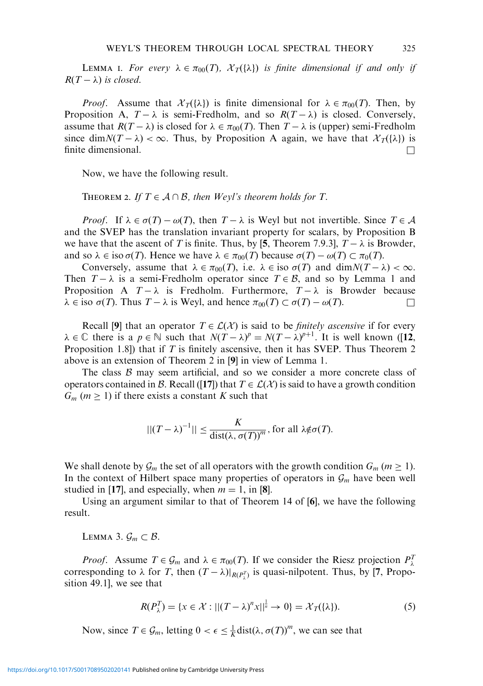LEMMA I. For every  $\lambda \in \pi_{00}(T)$ ,  $\mathcal{X}_T(\{\lambda\})$  is finite dimensional if and only if  $R(T - \lambda)$  is closed.

*Proof.* Assume that  $\mathcal{X}_T(\{\lambda\})$  is finite dimensional for  $\lambda \in \pi_{00}(T)$ . Then, by Proposition A,  $T - \lambda$  is semi-Fredholm, and so  $R(T - \lambda)$  is closed. Conversely, assume that  $R(T - \lambda)$  is closed for  $\lambda \in \pi_{00}(T)$ . Then  $T - \lambda$  is (upper) semi-Fredholm since dim $N(T - \lambda) < \infty$ . Thus, by Proposition A again, we have that  $\mathcal{X}_T({\lambda})$  is finite dimensional.

Now, we have the following result.

THEOREM 2. If  $T \in \mathcal{A} \cap \mathcal{B}$ , then Weyl's theorem holds for T.

*Proof.* If  $\lambda \in \sigma(T) - \omega(T)$ , then  $T - \lambda$  is Weyl but not invertible. Since  $T \in \mathcal{A}$ and the SVEP has the translation invariant property for scalars, by Proposition B we have that the ascent of T is finite. Thus, by [5, Theorem 7.9.3],  $T - \lambda$  is Browder, and so  $\lambda \in \text{iso } \sigma(T)$ . Hence we have  $\lambda \in \pi_{00}(T)$  because  $\sigma(T) - \omega(T) \subset \pi_0(T)$ .

Conversely, assume that  $\lambda \in \pi_{00}(T)$ , i.e.  $\lambda \in \text{iso } \sigma(T)$  and  $\dim N(T - \lambda) < \infty$ . Then  $T - \lambda$  is a semi-Fredholm operator since  $T \in \mathcal{B}$ , and so by Lemma 1 and Proposition A  $T - \lambda$  is Fredholm. Furthermore,  $T - \lambda$  is Browder because  $\lambda \in \text{iso } \sigma(T)$ . Thus  $T - \lambda$  is Weyl, and hence  $\pi_{00}(T) \subset \sigma(T) - \omega(T)$ .

Recall [9] that an operator  $T \in \mathcal{L}(\mathcal{X})$  is said to be *finitely ascensive* if for every  $\lambda \in \mathbb{C}$  there is a  $p \in \mathbb{N}$  such that  $N(T - \lambda)^p = N(T - \lambda)^{p+1}$ . It is well known ([12, Proposition 1.8]) that if T is finitely ascensive, then it has SVEP. Thus Theorem 2 above is an extension of Theorem 2 in [9] in view of Lemma 1.

The class  $\beta$  may seem artificial, and so we consider a more concrete class of operators contained in B. Recall ([17]) that  $T \in \mathcal{L}(\mathcal{X})$  is said to have a growth condition  $G_m$  ( $m \geq 1$ ) if there exists a constant K such that

$$
||(T - \lambda)^{-1}|| \leq \frac{K}{\text{dist}(\lambda, \sigma(T))^{m}}, \text{ for all } \lambda \notin \sigma(T).
$$

We shall denote by  $\mathcal{G}_m$  the set of all operators with the growth condition  $G_m$  ( $m \geq 1$ ). In the context of Hilbert space many properties of operators in  $\mathcal{G}_m$  have been well studied in [17], and especially, when  $m = 1$ , in [8].

Using an argument similar to that of Theorem 14 of [6], we have the following result.

LEMMA 3.  $\mathcal{G}_m \subset \mathcal{B}$ .

*Proof.* Assume  $T \in \mathcal{G}_m$  and  $\lambda \in \pi_{00}(T)$ . If we consider the Riesz projection  $P_\lambda^T$ corresponding to  $\lambda$  for T, then  $(T - \lambda)|_{R(P_{\lambda}^{T})}$  is quasi-nilpotent. Thus, by [7, Proposition 49.1], we see that

$$
R(P_{\lambda}^{T}) = \{x \in \mathcal{X} : ||(T - \lambda)^{n}x||_{\pi}^{\frac{1}{n}} \to 0\} = \mathcal{X}_{T}(\{\lambda\}).
$$
\n(5)

Now, since  $T \in \mathcal{G}_m$ , letting  $0 < \epsilon \leq \frac{1}{K}$ dist $(\lambda, \sigma(T))^m$ , we can see that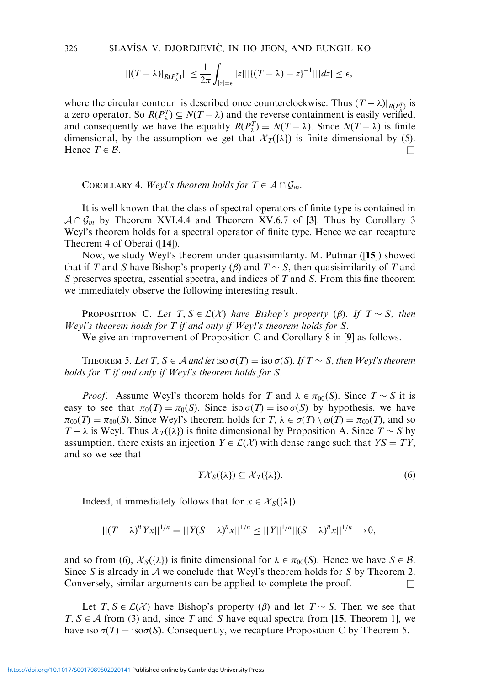326 SLAVISA V. DJORDJEVIĆ, IN HO JEON, AND EUNGIL KO

$$
||(T-\lambda)|_{R(P_{\lambda}^{T})}|| \leq \frac{1}{2\pi}\int_{|z|=\epsilon} |z| ||{((T-\lambda)-z)}^{-1}|| |dz| \leq \epsilon,
$$

where the circular contour is described once counterclockwise. Thus  $(T - \lambda)|_{R(P_x^T)}$  is a zero operator. So  $R(P_\lambda^T) \subseteq N(T - \lambda)$  and the reverse containment is easily verified, and consequently we have the equality  $R(P_\lambda^T) = N(T - \lambda)$ . Since  $N(T - \lambda)$  is finite dimensional, by the assumption we get that  $\mathcal{X}_T({\lambda})$  is finite dimensional by (5). Hence  $T \in \mathcal{B}$ .

COROLLARY 4. Weyl's theorem holds for  $T \in A \cap \mathcal{G}_m$ .

It is well known that the class of spectral operators of finite type is contained in  $A\cap G_m$  by Theorem XVI.4.4 and Theorem XV.6.7 of [3]. Thus by Corollary 3 Weyl's theorem holds for a spectral operator of finite type. Hence we can recapture Theorem 4 of Oberai ([14]).

Now, we study Weyl's theorem under quasisimilarity. M. Putinar ([15]) showed that if T and S have Bishop's property ( $\beta$ ) and  $T \sim S$ , then quasisimilarity of T and S preserves spectra, essential spectra, and indices of T and S. From this fine theorem we immediately observe the following interesting result.

**PROPOSITION C.** Let  $T, S \in \mathcal{L}(\mathcal{X})$  have Bishop's property ( $\beta$ ). If  $T \sim S$ , then Weyl's theorem holds for T if and only if Weyl's theorem holds for S.

We give an improvement of Proposition C and Corollary 8 in [9] as follows.

THEOREM 5. Let T,  $S \in \mathcal{A}$  and let iso  $\sigma(T) =$  iso  $\sigma(S)$ . If  $T \sim S$ , then Weyl's theorem holds for T if and only if Weyl's theorem holds for S.

*Proof.* Assume Weyl's theorem holds for T and  $\lambda \in \pi_{00}(S)$ . Since  $T \sim S$  it is easy to see that  $\pi_0(T) = \pi_0(S)$ . Since iso  $\sigma(T) =$  iso  $\sigma(S)$  by hypothesis, we have  $\pi_{00}(T) = \pi_{00}(S)$ . Since Weyl's theorem holds for  $T, \lambda \in \sigma(T) \setminus \omega(T) = \pi_{00}(T)$ , and so  $T - \lambda$  is Weyl. Thus  $\mathcal{X}_T({\lambda})$  is finite dimensional by Proposition A. Since  $T \sim S$  by assumption, there exists an injection  $Y \in \mathcal{L}(\mathcal{X})$  with dense range such that  $YS = TY$ , and so we see that

$$
Y\mathcal{X}_{S}(\{\lambda\}) \subseteq \mathcal{X}_{T}(\{\lambda\}).\tag{6}
$$

Indeed, it immediately follows that for  $x \in \mathcal{X}_{S}(\{\lambda\})$ 

$$
||(T - \lambda)^n Yx||^{1/n} = ||Y(S - \lambda)^n x||^{1/n} \le ||Y||^{1/n}||(S - \lambda)^n x||^{1/n} \to 0,
$$

and so from (6),  $\mathcal{X}_S(\{\lambda\})$  is finite dimensional for  $\lambda \in \pi_{00}(S)$ . Hence we have  $S \in \mathcal{B}$ . Since S is already in  $A$  we conclude that Weyl's theorem holds for S by Theorem 2. Conversely, similar arguments can be applied to complete the proof.  $\Box$ 

Let  $T, S \in \mathcal{L}(\mathcal{X})$  have Bishop's property ( $\beta$ ) and let  $T \sim S$ . Then we see that  $T, S \in \mathcal{A}$  from (3) and, since T and S have equal spectra from [15, Theorem 1], we have iso  $\sigma(T) = \text{iso}\sigma(S)$ . Consequently, we recapture Proposition C by Theorem 5.